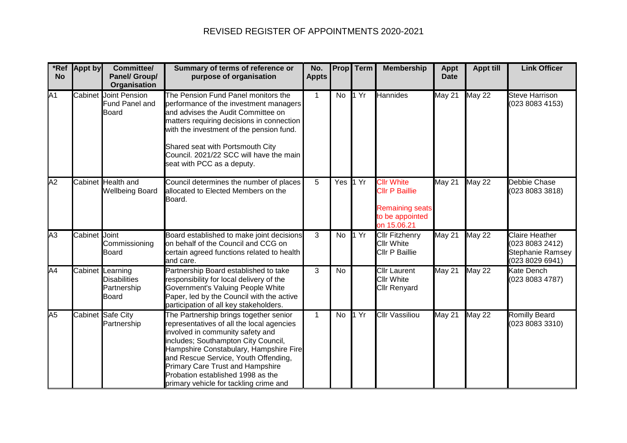## REVISED REGISTER OF APPOINTMENTS 2020-2021

| *Ref<br><b>No</b> | <b>Appt by</b> | Committee/<br>Panel/ Group/<br>Organisation                            | Summary of terms of reference or<br>purpose of organisation                                                                                                                                                                                                                                                                                                                | No.<br><b>Appts</b> | <b>Prop</b> | Term | <b>Membership</b>                                                                                      | <b>Appt</b><br><b>Date</b> | <b>Appt till</b> | <b>Link Officer</b>                                                             |
|-------------------|----------------|------------------------------------------------------------------------|----------------------------------------------------------------------------------------------------------------------------------------------------------------------------------------------------------------------------------------------------------------------------------------------------------------------------------------------------------------------------|---------------------|-------------|------|--------------------------------------------------------------------------------------------------------|----------------------------|------------------|---------------------------------------------------------------------------------|
| $\overline{A1}$   |                | <b>Cabinet</b> Joint Pension<br>Fund Panel and<br><b>Board</b>         | The Pension Fund Panel monitors the<br>performance of the investment managers<br>and advises the Audit Committee on<br>matters requiring decisions in connection<br>with the investment of the pension fund.<br>Shared seat with Portsmouth City<br>Council. 2021/22 SCC will have the main<br>seat with PCC as a deputy.                                                  | $\mathbf{1}$        | <b>No</b>   | 1 Yr | <b>Hannides</b>                                                                                        | <b>May 21</b>              | <b>May 22</b>    | <b>Steve Harrison</b><br>(023 8083 4153)                                        |
| $\overline{A2}$   |                | Cabinet Health and<br><b>Wellbeing Board</b>                           | Council determines the number of places<br>allocated to Elected Members on the<br>Board.                                                                                                                                                                                                                                                                                   | 5                   | Yes 1 Yr    |      | <b>Cllr White</b><br><b>Cllr P Baillie</b><br><b>Remaining seats</b><br>to be appointed<br>on 15.06.21 | May 21                     | <b>May 22</b>    | Debbie Chase<br>(023 8083 3818)                                                 |
| A3                | Cabinet Joint  | Commissioning<br><b>Board</b>                                          | Board established to make joint decisions<br>on behalf of the Council and CCG on<br>certain agreed functions related to health<br>and care.                                                                                                                                                                                                                                | 3                   | No          | 1 Yr | <b>Cllr Fitzhenry</b><br><b>Cllr White</b><br>Cllr P Baillie                                           | May 21                     | <b>May 22</b>    | Claire Heather<br>(023 8083 2412)<br><b>Stephanie Ramsey</b><br>(023 8029 6941) |
| A4                |                | Cabinet Learning<br><b>Disabilities</b><br>Partnership<br><b>Board</b> | Partnership Board established to take<br>responsibility for local delivery of the<br>Government's Valuing People White<br>Paper, led by the Council with the active<br>participation of all key stakeholders.                                                                                                                                                              | 3                   | <b>No</b>   |      | <b>Cllr Laurent</b><br><b>Cllr White</b><br><b>Cllr Renyard</b>                                        | May 21                     | <b>May 22</b>    | Kate Dench<br>(023 8083 4787)                                                   |
| A <sub>5</sub>    |                | Cabinet Safe City<br>Partnership                                       | The Partnership brings together senior<br>representatives of all the local agencies<br>involved in community safety and<br>includes; Southampton City Council,<br>Hampshire Constabulary, Hampshire Fire<br>and Rescue Service, Youth Offending,<br><b>Primary Care Trust and Hampshire</b><br>Probation established 1998 as the<br>primary vehicle for tackling crime and | $\mathbf{1}$        | No          | 1 Yr | <b>Cllr Vassiliou</b>                                                                                  | May 21                     | <b>May 22</b>    | <b>Romilly Beard</b><br>(023 8083 3310)                                         |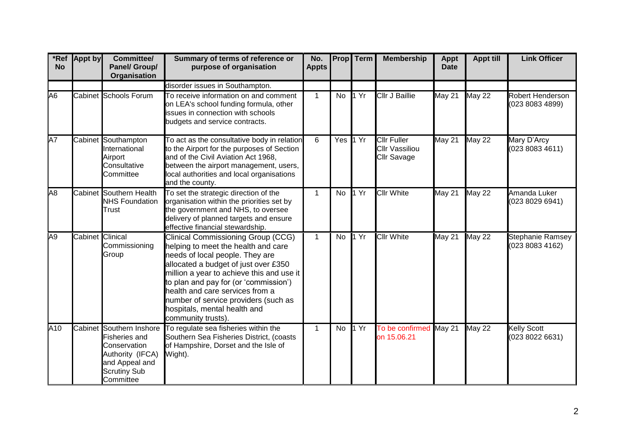| <b>No</b>       | *Ref Appt by            | Committee/<br>Panel/ Group/<br><b>Organisation</b>                                                                                         | Summary of terms of reference or<br>purpose of organisation                                                                                                                                                                                                                                                                                                                        | No.<br><b>Appts</b> |           | <b>Prop</b> Term          | <b>Membership</b>                                                 | <b>Appt</b><br><b>Date</b> | <b>Appt till</b> | <b>Link Officer</b>                        |
|-----------------|-------------------------|--------------------------------------------------------------------------------------------------------------------------------------------|------------------------------------------------------------------------------------------------------------------------------------------------------------------------------------------------------------------------------------------------------------------------------------------------------------------------------------------------------------------------------------|---------------------|-----------|---------------------------|-------------------------------------------------------------------|----------------------------|------------------|--------------------------------------------|
|                 |                         |                                                                                                                                            | disorder issues in Southampton.                                                                                                                                                                                                                                                                                                                                                    |                     |           |                           |                                                                   |                            |                  |                                            |
| A <sub>6</sub>  |                         | Cabinet Schools Forum                                                                                                                      | To receive information on and comment<br>on LEA's school funding formula, other<br>issues in connection with schools<br>budgets and service contracts.                                                                                                                                                                                                                             | $\mathbf{1}$        | No        | 1 Yr                      | <b>Cllr J Baillie</b>                                             | <b>May 21</b>              | <b>May 22</b>    | <b>Robert Henderson</b><br>(023 8083 4899) |
| A7              |                         | Cabinet Southampton<br>International<br>Airport<br>Consultative<br>Committee                                                               | To act as the consultative body in relation<br>to the Airport for the purposes of Section<br>and of the Civil Aviation Act 1968,<br>between the airport management, users,<br>local authorities and local organisations<br>and the county.                                                                                                                                         | 6                   | Yes 1 Yr  |                           | <b>Cllr Fuller</b><br><b>Cllr Vassiliou</b><br><b>Cllr Savage</b> | May 21                     | <b>May 22</b>    | Mary D'Arcy<br>(023 8083 4611)             |
| $\overline{AB}$ |                         | Cabinet Southern Health<br><b>NHS Foundation</b><br>Trust                                                                                  | To set the strategic direction of the<br>organisation within the priorities set by<br>the government and NHS, to oversee<br>delivery of planned targets and ensure<br>effective financial stewardship.                                                                                                                                                                             | $\mathbf{1}$        | No        | 1 Yr                      | <b>Cllr White</b>                                                 | <b>May 21</b>              | <b>May 22</b>    | Amanda Luker<br>(023 8029 6941)            |
| A9              | <b>Cabinet Clinical</b> | Commissioning<br>Group                                                                                                                     | <b>Clinical Commissioning Group (CCG)</b><br>helping to meet the health and care<br>needs of local people. They are<br>allocated a budget of just over £350<br>million a year to achieve this and use it<br>to plan and pay for (or 'commission')<br>health and care services from a<br>number of service providers (such as<br>hospitals, mental health and<br>community trusts). | $\mathbf{1}$        | <b>No</b> | $\overline{1 \text{ Yr}}$ | <b>Cllr White</b>                                                 | <b>May 21</b>              | <b>May 22</b>    | <b>Stephanie Ramsey</b><br>(023 8083 4162) |
| A10             |                         | Cabinet Southern Inshore<br><b>Fisheries and</b><br>Conservation<br>Authority (IFCA)<br>and Appeal and<br><b>Scrutiny Sub</b><br>Committee | To regulate sea fisheries within the<br>Southern Sea Fisheries District, (coasts<br>of Hampshire, Dorset and the Isle of<br>Wight).                                                                                                                                                                                                                                                | 1                   | No        | 1 Yr                      | To be confirmed<br>on 15.06.21                                    | May 21                     | <b>May 22</b>    | Kelly Scott<br>(023 8022 6631)             |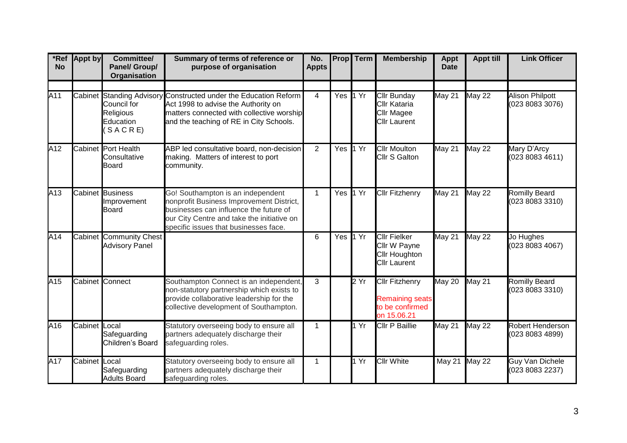| *Ref<br><b>No</b> | <b>Appt by</b> | Committee/<br>Panel/ Group/<br>Organisation             | Summary of terms of reference or<br>purpose of organisation                                                                                                                                                    | No.<br><b>Appts</b> | <b>Prop</b> | Term | <b>Membership</b>                                                                  | <b>Appt</b><br><b>Date</b> | <b>Appt till</b> | <b>Link Officer</b>                       |
|-------------------|----------------|---------------------------------------------------------|----------------------------------------------------------------------------------------------------------------------------------------------------------------------------------------------------------------|---------------------|-------------|------|------------------------------------------------------------------------------------|----------------------------|------------------|-------------------------------------------|
|                   |                |                                                         |                                                                                                                                                                                                                |                     |             |      |                                                                                    |                            |                  |                                           |
| A11               |                | Council for<br><b>Religious</b><br>Education<br>SACRE   | Cabinet Standing Advisory Constructed under the Education Reform<br>Act 1998 to advise the Authority on<br>matters connected with collective worship<br>and the teaching of RE in City Schools.                | $\overline{4}$      | Yes $1Yr$   |      | <b>Cllr Bunday</b><br>Cllr Kataria<br>Cllr Magee<br><b>Cllr Laurent</b>            | May 21                     | <b>May 22</b>    | <b>Alison Philpott</b><br>(023 8083 3076) |
| A12               |                | Cabinet Port Health<br>Consultative<br><b>Board</b>     | ABP led consultative board, non-decision<br>making. Matters of interest to port<br>community.                                                                                                                  | $\overline{2}$      | Yes         | 1 Yr | <b>Cllr Moulton</b><br><b>Cllr S Galton</b>                                        | May 21                     | <b>May 22</b>    | Mary D'Arcy<br>(023 8083 4611)            |
| A13               |                | Cabinet Business<br>Improvement<br><b>Board</b>         | Go! Southampton is an independent<br>nonprofit Business Improvement District,<br>businesses can influence the future of<br>our City Centre and take the initiative on<br>specific issues that businesses face. | $\mathbf{1}$        | Yes         | 1 Yr | <b>Cllr Fitzhenry</b>                                                              | May 21                     | <b>May 22</b>    | <b>Romilly Beard</b><br>(023 8083 3310)   |
| A14               |                | <b>Cabinet Community Chest</b><br><b>Advisory Panel</b> |                                                                                                                                                                                                                | 6                   | Yes $1Yr$   |      | <b>Cllr Fielker</b><br>Cllr W Payne<br><b>Cllr Houghton</b><br><b>Cllr Laurent</b> | May 21                     | <b>May 22</b>    | Jo Hughes<br>(023 8083 4067)              |
| A15               |                | <b>Cabinet</b> Connect                                  | Southampton Connect is an independent,<br>non-statutory partnership which exists to<br>provide collaborative leadership for the<br>collective development of Southampton.                                      | 3                   |             | 2Yr  | <b>Cllr Fitzhenry</b><br><b>Remaining seats</b><br>to be confirmed<br>on 15.06.21  | May 20                     | May 21           | <b>Romilly Beard</b><br>(023 8083 3310)   |
| A16               | Cabinet Local  | Safeguarding<br>Children's Board                        | Statutory overseeing body to ensure all<br>partners adequately discharge their<br>safeguarding roles.                                                                                                          | $\mathbf 1$         |             | 1 Yr | <b>Cllr P Baillie</b>                                                              | May 21                     | <b>May 22</b>    | Robert Henderson<br>(023 8083 4899)       |
| A17               | Cabinet Local  | Safeguarding<br><b>Adults Board</b>                     | Statutory overseeing body to ensure all<br>partners adequately discharge their<br>safeguarding roles.                                                                                                          | $\mathbf{1}$        |             | 1 Yr | <b>Cllr White</b>                                                                  | May 21 May 22              |                  | <b>Guy Van Dichele</b><br>(023 8083 2237) |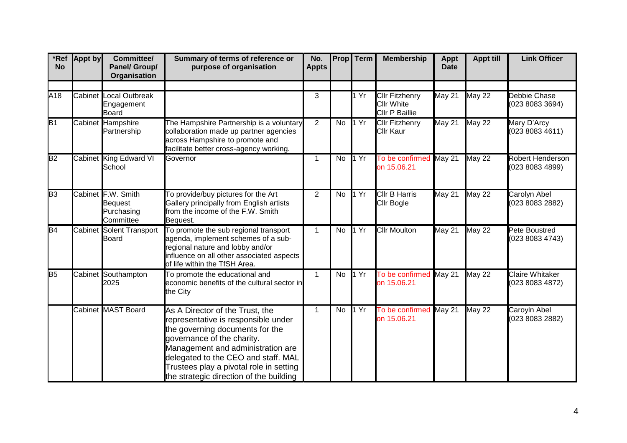| *Ref<br><b>No</b> | <b>Appt by</b> | Committee/<br>Panel/ Group/<br>Organisation                     | Summary of terms of reference or<br>purpose of organisation                                                                                                                                                                                                                                               | No.<br><b>Appts</b> |           | <b>Prop</b> Term | <b>Membership</b>                                     | <b>Appt</b><br><b>Date</b> | <b>Appt till</b> | <b>Link Officer</b>                       |
|-------------------|----------------|-----------------------------------------------------------------|-----------------------------------------------------------------------------------------------------------------------------------------------------------------------------------------------------------------------------------------------------------------------------------------------------------|---------------------|-----------|------------------|-------------------------------------------------------|----------------------------|------------------|-------------------------------------------|
|                   |                |                                                                 |                                                                                                                                                                                                                                                                                                           |                     |           |                  |                                                       |                            |                  |                                           |
| A18               |                | <b>Cabinet</b> Local Outbreak<br>Engagement<br><b>Board</b>     |                                                                                                                                                                                                                                                                                                           | 3                   |           | 1 Yr             | <b>Cllr Fitzhenry</b><br>Cllr White<br>Cllr P Baillie | May 21                     | <b>May 22</b>    | Debbie Chase<br>(023 8083 3694)           |
| B1                |                | Cabinet Hampshire<br>Partnership                                | The Hampshire Partnership is a voluntary<br>collaboration made up partner agencies<br>across Hampshire to promote and<br>facilitate better cross-agency working.                                                                                                                                          | 2                   | <b>No</b> | 1 Yr             | <b>Cllr Fitzhenry</b><br>Cllr Kaur                    | May 21                     | <b>May 22</b>    | Mary D'Arcy<br>(023 8083 4611)            |
| B2                |                | Cabinet King Edward VI<br>School                                | Governor                                                                                                                                                                                                                                                                                                  | 1                   | No        | 1 Yr             | To be confirmed<br>on 15.06.21                        | May 21                     | <b>May 22</b>    | Robert Henderson<br>(023 8083 4899)       |
| B3                |                | Cabinet F.W. Smith<br><b>Bequest</b><br>Purchasing<br>Committee | To provide/buy pictures for the Art<br>Gallery principally from English artists<br>from the income of the F.W. Smith<br>Bequest.                                                                                                                                                                          | $\overline{2}$      | No        | 1 Yr             | <b>Cllr B Harris</b><br>Cllr Bogle                    | May 21                     | <b>May 22</b>    | Carolyn Abel<br>(023 8083 2882)           |
| B4                |                | Cabinet Solent Transport<br><b>Board</b>                        | To promote the sub regional transport<br>agenda, implement schemes of a sub-<br>regional nature and lobby and/or<br>influence on all other associated aspects<br>of life within the TfSH Area.                                                                                                            | $\mathbf 1$         | No        | 1 Yr             | <b>Cllr Moulton</b>                                   | $M$ ay 21                  | <b>May 22</b>    | Pete Boustred<br>(023 8083 4743)          |
| B <sub>5</sub>    |                | Cabinet Southampton<br>2025                                     | To promote the educational and<br>economic benefits of the cultural sector in<br>the City                                                                                                                                                                                                                 | $\mathbf{1}$        | <b>No</b> | 1 Yr             | To be confirmed<br>on 15.06.21                        | May 21                     | <b>May 22</b>    | <b>Claire Whitaker</b><br>(023 8083 4872) |
|                   |                | Cabinet MAST Board                                              | As A Director of the Trust, the<br>representative is responsible under<br>the governing documents for the<br>governance of the charity.<br>Management and administration are<br>delegated to the CEO and staff. MAL<br>Trustees play a pivotal role in setting<br>the strategic direction of the building | $\mathbf{1}$        | No        | 1 Yr             | To be confirmed<br>on 15.06.21                        | May 21                     | <b>May 22</b>    | Caroyln Abel<br>(023 8083 2882)           |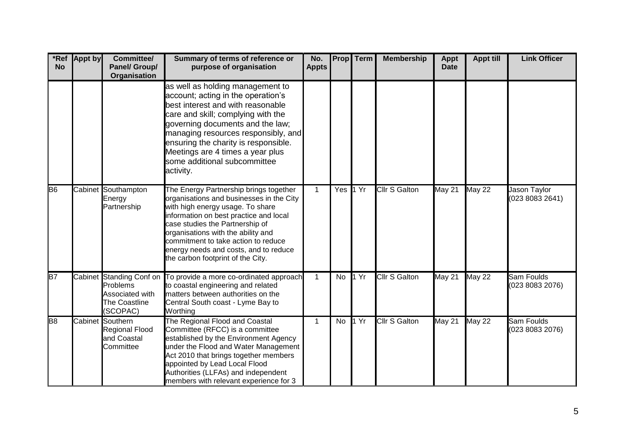| <b>No</b>      | *Ref Appt by | Committee/<br><b>Panel/ Group/</b><br>Organisation                                   | Summary of terms of reference or<br>purpose of organisation                                                                                                                                                                                                                                                                                                    | No.<br><b>Appts</b> |          | Prop Term | <b>Membership</b>    | <b>Appt</b><br><b>Date</b> | <b>Appt till</b> | <b>Link Officer</b>             |
|----------------|--------------|--------------------------------------------------------------------------------------|----------------------------------------------------------------------------------------------------------------------------------------------------------------------------------------------------------------------------------------------------------------------------------------------------------------------------------------------------------------|---------------------|----------|-----------|----------------------|----------------------------|------------------|---------------------------------|
|                |              |                                                                                      | as well as holding management to<br>account; acting in the operation's<br>best interest and with reasonable<br>care and skill; complying with the<br>governing documents and the law;<br>managing resources responsibly, and<br>ensuring the charity is responsible.<br>Meetings are 4 times a year plus<br>some additional subcommittee<br>activity.          |                     |          |           |                      |                            |                  |                                 |
| B <sub>6</sub> |              | Cabinet Southampton<br>Energy<br>Partnership                                         | The Energy Partnership brings together<br>organisations and businesses in the City<br>with high energy usage. To share<br>information on best practice and local<br>case studies the Partnership of<br>organisations with the ability and<br>commitment to take action to reduce<br>energy needs and costs, and to reduce<br>the carbon footprint of the City. | $\mathbf{1}$        | Yes 1 Yr |           | <b>Cllr S Galton</b> | <b>May 21</b>              | <b>May 22</b>    | Jason Taylor<br>(023 8083 2641) |
| B7             |              | Cabinet Standing Conf on<br>Problems<br>Associated with<br>The Coastline<br>(SCOPAC) | To provide a more co-ordinated approach<br>to coastal engineering and related<br>matters between authorities on the<br>Central South coast - Lyme Bay to<br>Worthing                                                                                                                                                                                           | $\mathbf{1}$        | No       | 1 Yr      | <b>Cllr S Galton</b> | May 21                     | <b>May 22</b>    | Sam Foulds<br>(023 8083 2076)   |
| B <sub>8</sub> |              | Cabinet Southern<br><b>Regional Flood</b><br>and Coastal<br>Committee                | The Regional Flood and Coastal<br>Committee (RFCC) is a committee<br>established by the Environment Agency<br>under the Flood and Water Management<br>Act 2010 that brings together members<br>appointed by Lead Local Flood<br>Authorities (LLFAs) and independent<br>members with relevant experience for 3                                                  | 1                   | No       | 1 Yr      | <b>Cllr S Galton</b> | May 21                     | <b>May 22</b>    | Sam Foulds<br>(023 8083 2076)   |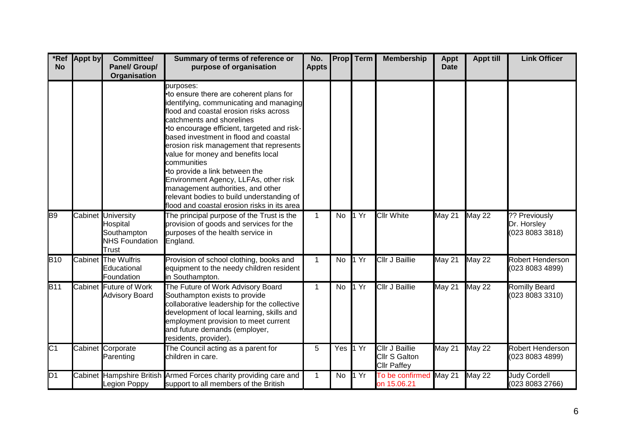| *Ref<br><b>No</b> | <b>Appt by</b> | Committee/<br>Panel/ Group/<br>Organisation                                     | Summary of terms of reference or<br>purpose of organisation                                                                                                                                                                                                                                                                                                                                                                                                                                                                                                                | No.<br><b>Appts</b> |          | <b>Prop</b> Term | <b>Membership</b>                                                   | <b>Appt</b><br><b>Date</b> | <b>Appt till</b>     | <b>Link Officer</b>                             |
|-------------------|----------------|---------------------------------------------------------------------------------|----------------------------------------------------------------------------------------------------------------------------------------------------------------------------------------------------------------------------------------------------------------------------------------------------------------------------------------------------------------------------------------------------------------------------------------------------------------------------------------------------------------------------------------------------------------------------|---------------------|----------|------------------|---------------------------------------------------------------------|----------------------------|----------------------|-------------------------------------------------|
|                   |                |                                                                                 | purposes:<br>•to ensure there are coherent plans for<br>identifying, communicating and managing<br>flood and coastal erosion risks across<br>catchments and shorelines<br>•to encourage efficient, targeted and risk-<br>based investment in flood and coastal<br>erosion risk management that represents<br>value for money and benefits local<br>communities<br>•to provide a link between the<br>Environment Agency, LLFAs, other risk<br>management authorities, and other<br>relevant bodies to build understanding of<br>flood and coastal erosion risks in its area |                     |          |                  |                                                                     |                            |                      |                                                 |
| B <sub>9</sub>    |                | Cabinet University<br>Hospital<br>Southampton<br><b>NHS Foundation</b><br>Trust | The principal purpose of the Trust is the<br>provision of goods and services for the<br>purposes of the health service in<br>England.                                                                                                                                                                                                                                                                                                                                                                                                                                      | $\mathbf{1}$        | No       | 1 Yr             | <b>Cllr White</b>                                                   | May 21                     | <b>May 22</b>        | ?? Previously<br>Dr. Horsley<br>(023 8083 3818) |
| <b>B</b> 10       |                | Cabinet The Wulfris<br>Educational<br>Foundation                                | Provision of school clothing, books and<br>equipment to the needy children resident<br>in Southampton.                                                                                                                                                                                                                                                                                                                                                                                                                                                                     | $\mathbf{1}$        | No       | 1 Yr             | <b>Cllr J Baillie</b>                                               | May 21                     | <b>May 22</b>        | <b>Robert Henderson</b><br>(023 8083 4899)      |
| $\overline{B11}$  |                | <b>Cabinet Future of Work</b><br><b>Advisory Board</b>                          | The Future of Work Advisory Board<br>Southampton exists to provide<br>collaborative leadership for the collective<br>development of local learning, skills and<br>employment provision to meet current<br>and future demands (employer,<br>residents, provider).                                                                                                                                                                                                                                                                                                           | $\mathbf 1$         | No       | 1 Yr             | <b>Cllr J Baillie</b>                                               | May 21                     | $\overline{M}$ ay 22 | <b>Romilly Beard</b><br>(023 8083 3310)         |
| $\overline{C1}$   |                | Cabinet Corporate<br>Parenting                                                  | The Council acting as a parent for<br>children in care.                                                                                                                                                                                                                                                                                                                                                                                                                                                                                                                    | 5                   | Yes 1 Yr |                  | <b>Cllr J Baillie</b><br><b>Cllr S Galton</b><br><b>Cllr Paffey</b> | May 21                     | <b>May 22</b>        | <b>Robert Henderson</b><br>(023 8083 4899)      |
| D <sub>1</sub>    |                | Legion Poppy                                                                    | Cabinet Hampshire British Armed Forces charity providing care and<br>support to all members of the British                                                                                                                                                                                                                                                                                                                                                                                                                                                                 | $\mathbf{1}$        | No       | 1 Yr             | To be confirmed May 21<br>on 15.06.21                               |                            | <b>May 22</b>        | <b>Judy Cordell</b><br>(023 8083 2766)          |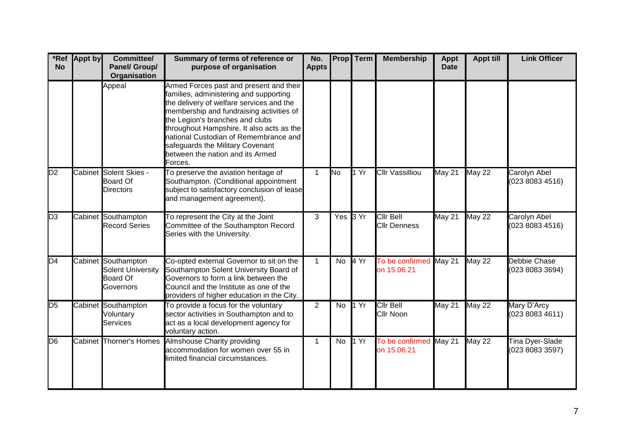| *Ref<br><b>No</b> | <b>Appt by</b> | Committee/<br>Panel/ Group/<br><b>Organisation</b>                              | Summary of terms of reference or<br>purpose of organisation                                                                                                                                                                                                                                                                                                                           | No.<br><b>Appts</b> |           | Prop Term | <b>Membership</b>                       | <b>Appt</b><br><b>Date</b> | <b>Appt till</b> | <b>Link Officer</b>                    |
|-------------------|----------------|---------------------------------------------------------------------------------|---------------------------------------------------------------------------------------------------------------------------------------------------------------------------------------------------------------------------------------------------------------------------------------------------------------------------------------------------------------------------------------|---------------------|-----------|-----------|-----------------------------------------|----------------------------|------------------|----------------------------------------|
|                   |                | Appeal                                                                          | Armed Forces past and present and their<br>families, administering and supporting<br>the delivery of welfare services and the<br>membership and fundraising activities of<br>the Legion's branches and clubs<br>throughout Hampshire. It also acts as the<br>national Custodian of Remembrance and<br>safeguards the Military Covenant<br>between the nation and its Armed<br>Forces. |                     |           |           |                                         |                            |                  |                                        |
| D <sub>2</sub>    |                | Cabinet Solent Skies -<br><b>Board Of</b><br><b>Directors</b>                   | To preserve the aviation heritage of<br>Southampton. (Conditional appointment<br>subject to satisfactory conclusion of lease<br>and management agreement).                                                                                                                                                                                                                            | $\mathbf{1}$        | <b>No</b> | 1 Yr      | <b>Cllr Vassilliou</b>                  | <b>May 21</b>              | <b>May 22</b>    | Carolyn Abel<br>(023 8083 4516)        |
| $\overline{D3}$   |                | Cabinet Southampton<br><b>Record Series</b>                                     | To represent the City at the Joint<br>Committee of the Southampton Record<br>Series with the University.                                                                                                                                                                                                                                                                              | 3                   |           | Yes 3 Yr  | <b>Cllr Bell</b><br><b>Cllr Denness</b> | May 21                     | <b>May 22</b>    | <b>Carolyn Abel</b><br>(023 8083 4516) |
| $\overline{D4}$   |                | Cabinet Southampton<br><b>Solent University</b><br><b>Board Of</b><br>Governors | Co-opted external Governor to sit on the<br>Southampton Solent University Board of<br>Governors to form a link between the<br>Council and the Institute as one of the<br>providers of higher education in the City.                                                                                                                                                                   | $\mathbf 1$         | No        | 4 Yr      | To be confirmed<br>on 15.06.21          | May 21                     | <b>May 22</b>    | Debbie Chase<br>(023 8083 3694)        |
| D <sub>5</sub>    |                | Cabinet Southampton<br>Voluntary<br><b>Services</b>                             | To provide a focus for the voluntary<br>sector activities in Southampton and to<br>act as a local development agency for<br>voluntary action.                                                                                                                                                                                                                                         | $\overline{2}$      | <b>No</b> | 1 Yr      | <b>Cllr Bell</b><br><b>Cllr Noon</b>    | <b>May 21</b>              | <b>May 22</b>    | Mary D'Arcy<br>(023 8083 4611)         |
| $\overline{D6}$   |                | Cabinet Thorner's Homes                                                         | <b>Almshouse Charity providing</b><br>accommodation for women over 55 in<br>limited financial circumstances.                                                                                                                                                                                                                                                                          | $\mathbf{1}$        | No        | 1 Yr      | To be confirmed<br>on 15.06.21          | May 21                     | <b>May 22</b>    | Tina Dyer-Slade<br>(023 8083 3597)     |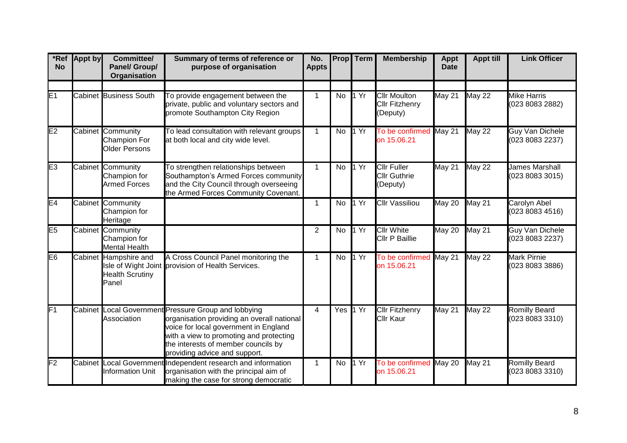| *Ref<br><b>No</b> | <b>Appt by</b> | Committee/<br>Panel/ Group/<br>Organisation                      | Summary of terms of reference or<br>purpose of organisation                                                                                                                                                                                                    | No.<br><b>Appts</b> | <b>Prop</b> | Term | <b>Membership</b>                                        | <b>Appt</b><br><b>Date</b> | <b>Appt till</b> | <b>Link Officer</b>                       |
|-------------------|----------------|------------------------------------------------------------------|----------------------------------------------------------------------------------------------------------------------------------------------------------------------------------------------------------------------------------------------------------------|---------------------|-------------|------|----------------------------------------------------------|----------------------------|------------------|-------------------------------------------|
|                   |                |                                                                  |                                                                                                                                                                                                                                                                |                     |             |      |                                                          |                            |                  |                                           |
| E1                |                | <b>Cabinet Business South</b>                                    | To provide engagement between the<br>private, public and voluntary sectors and<br>promote Southampton City Region                                                                                                                                              | $\mathbf{1}$        | <b>No</b>   | 1 Yr | <b>Cllr Moulton</b><br><b>Cllr Fitzhenry</b><br>(Deputy) | <b>May 21</b>              | <b>May 22</b>    | <b>Mike Harris</b><br>(023 8083 2882)     |
| E <sub>2</sub>    |                | Cabinet Community<br><b>Champion For</b><br><b>Older Persons</b> | To lead consultation with relevant groups<br>at both local and city wide level.                                                                                                                                                                                | $\mathbf{1}$        | No          | 1 Yr | To be confirmed<br>on 15.06.21                           | May 21                     | <b>May 22</b>    | <b>Guy Van Dichele</b><br>(023 8083 2237) |
| E <sub>3</sub>    |                | Cabinet Community<br>Champion for<br><b>Armed Forces</b>         | To strengthen relationships between<br>Southampton's Armed Forces community<br>and the City Council through overseeing<br>the Armed Forces Community Covenant.                                                                                                 | $\mathbf{1}$        | <b>No</b>   | 1 Yr | <b>Clir Fuller</b><br><b>Cllr Guthrie</b><br>(Deputy)    | May 21                     | <b>May 22</b>    | <b>James Marshall</b><br>(023 8083 3015)  |
| E <sub>4</sub>    |                | Cabinet Community<br>Champion for<br>Heritage                    |                                                                                                                                                                                                                                                                | $\mathbf{1}$        | No          | 1 Yr | <b>Cllr Vassiliou</b>                                    | May 20                     | May 21           | Carolyn Abel<br>(023 8083 4516)           |
| E5                |                | Cabinet Community<br>Champion for<br><b>Mental Health</b>        |                                                                                                                                                                                                                                                                | $\overline{2}$      | <b>No</b>   | 1 Yr | <b>Cllr White</b><br>Cllr P Baillie                      | May 20                     | May 21           | <b>Guy Van Dichele</b><br>(023 8083 2237) |
| E <sub>6</sub>    |                | Cabinet Hampshire and<br><b>Health Scrutiny</b><br>Panel         | A Cross Council Panel monitoring the<br>Isle of Wight Joint provision of Health Services.                                                                                                                                                                      | $\mathbf 1$         | No          | 1 Yr | To be confirmed<br>on 15.06.21                           | May 21                     | <b>May 22</b>    | <b>Mark Pirnie</b><br>(023 8083 3886)     |
| $\overline{F1}$   |                | Association                                                      | Cabinet Local Government Pressure Group and lobbying<br>organisation providing an overall national<br>voice for local government in England<br>with a view to promoting and protecting<br>the interests of member councils by<br>providing advice and support. | $\overline{4}$      | Yes         | 1 Yr | <b>Cllr Fitzhenry</b><br>Cllr Kaur                       | May 21                     | <b>May 22</b>    | <b>Romilly Beard</b><br>(023 8083 3310)   |
| F2                |                | <b>Information Unit</b>                                          | Cabinet Local Government Independent research and information<br>organisation with the principal aim of<br>making the case for strong democratic                                                                                                               | $\mathbf 1$         | No          | 1 Yr | To be confirmed<br>on 15.06.21                           | May 20                     | <b>May 21</b>    | <b>Romilly Beard</b><br>(023 8083 3310)   |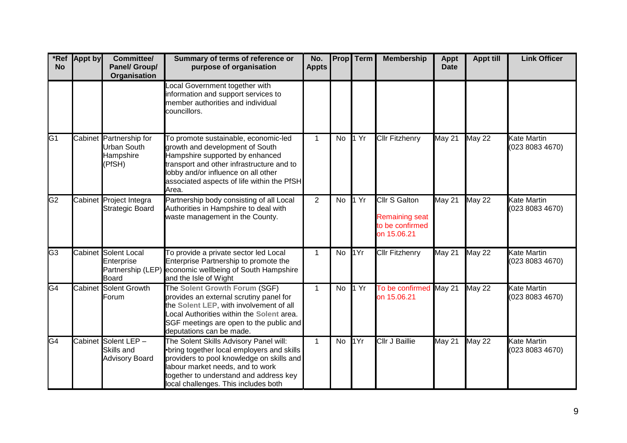| *Ref<br><b>No</b> | <b>Appt by</b> | Committee/<br>Panel/ Group/<br>Organisation                          | Summary of terms of reference or<br>purpose of organisation                                                                                                                                                                                            | No.<br><b>Appts</b> |    | <b>Prop</b> Term          | <b>Membership</b>                                                               | <b>Appt</b><br><b>Date</b> | <b>Appt till</b> | <b>Link Officer</b>                   |
|-------------------|----------------|----------------------------------------------------------------------|--------------------------------------------------------------------------------------------------------------------------------------------------------------------------------------------------------------------------------------------------------|---------------------|----|---------------------------|---------------------------------------------------------------------------------|----------------------------|------------------|---------------------------------------|
|                   |                |                                                                      | Local Government together with<br>information and support services to<br>member authorities and individual<br>councillors.                                                                                                                             |                     |    |                           |                                                                                 |                            |                  |                                       |
| $\overline{G1}$   |                | Cabinet Partnership for<br><b>Urban South</b><br>Hampshire<br>(PfSH) | To promote sustainable, economic-led<br>growth and development of South<br>Hampshire supported by enhanced<br>transport and other infrastructure and to<br>obby and/or influence on all other<br>associated aspects of life within the PfSH<br>Area.   | $\mathbf{1}$        | No | 1 Yr                      | <b>Cllr Fitzhenry</b>                                                           | May 21                     | <b>May 22</b>    | Kate Martin<br>(023 8083 4670)        |
| $\overline{G2}$   |                | Cabinet Project Integra<br><b>Strategic Board</b>                    | Partnership body consisting of all Local<br>Authorities in Hampshire to deal with<br>waste management in the County.                                                                                                                                   | $\overline{2}$      | No | 1 Yr                      | <b>Cllr S Galton</b><br><b>Remaining seat</b><br>to be confirmed<br>on 15.06.21 | <b>May 21</b>              | <b>May 22</b>    | <b>Kate Martin</b><br>(023 8083 4670) |
| G3                |                | <b>Cabinet Solent Local</b><br>Enterprise<br><b>Board</b>            | To provide a private sector led Local<br>Enterprise Partnership to promote the<br>Partnership (LEP) economic wellbeing of South Hampshire<br>and the Isle of Wight                                                                                     | $\mathbf{1}$        | No | 1Yr                       | <b>Cllr Fitzhenry</b>                                                           | May 21                     | <b>May 22</b>    | <b>Kate Martin</b><br>(023 8083 4670) |
| $\overline{G4}$   |                | <b>Cabinet Solent Growth</b><br>Forum                                | The Solent Growth Forum (SGF)<br>provides an external scrutiny panel for<br>the Solent LEP, with involvement of all<br>ocal Authorities within the Solent area.<br>SGF meetings are open to the public and<br>deputations can be made.                 | $\mathbf{1}$        | No | $\overline{1 \text{ Yr}}$ | To be confirmed<br>on 15.06.21                                                  | May 21                     | <b>May 22</b>    | <b>Kate Martin</b><br>(023 8083 4670) |
| G4                |                | Cabinet Solent LEP -<br>Skills and<br><b>Advisory Board</b>          | The Solent Skills Advisory Panel will:<br>•bring together local employers and skills<br>providers to pool knowledge on skills and<br>labour market needs, and to work<br>ogether to understand and address key<br>local challenges. This includes both | $\mathbf 1$         | No | 1Yr                       | <b>Cllr J Baillie</b>                                                           | May 21                     | <b>May 22</b>    | Kate Martin<br>(023 8083 4670)        |